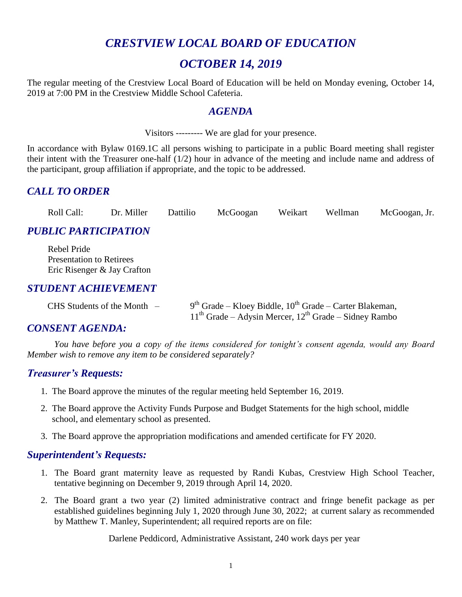## *CRESTVIEW LOCAL BOARD OF EDUCATION*

## *OCTOBER 14, 2019*

The regular meeting of the Crestview Local Board of Education will be held on Monday evening, October 14, 2019 at 7:00 PM in the Crestview Middle School Cafeteria.

#### *AGENDA*

Visitors --------- We are glad for your presence.

In accordance with Bylaw 0169.1C all persons wishing to participate in a public Board meeting shall register their intent with the Treasurer one-half (1/2) hour in advance of the meeting and include name and address of the participant, group affiliation if appropriate, and the topic to be addressed.

### *CALL TO ORDER*

| Roll Call: | Dr. Miller | Dattilio | McGoogan | Weikart | Wellman | McGoogan, Jr. |
|------------|------------|----------|----------|---------|---------|---------------|
|------------|------------|----------|----------|---------|---------|---------------|

## *PUBLIC PARTICIPATION*

Rebel Pride Presentation to Retirees Eric Risenger & Jay Crafton

#### *STUDENT ACHIEVEMENT*

| $CHS$ Students of the Month $-$ | $9th$ Grade – Kloey Biddle, $10th$ Grade – Carter Blakeman, |
|---------------------------------|-------------------------------------------------------------|
|                                 | $11th$ Grade – Adysin Mercer, $12th$ Grade – Sidney Rambo   |

#### *CONSENT AGENDA:*

*You have before you a copy of the items considered for tonight's consent agenda, would any Board Member wish to remove any item to be considered separately?*

#### *Treasurer's Requests:*

- 1. The Board approve the minutes of the regular meeting held September 16, 2019.
- 2. The Board approve the Activity Funds Purpose and Budget Statements for the high school, middle school, and elementary school as presented.
- 3. The Board approve the appropriation modifications and amended certificate for FY 2020.

#### *Superintendent's Requests:*

- 1. The Board grant maternity leave as requested by Randi Kubas, Crestview High School Teacher, tentative beginning on December 9, 2019 through April 14, 2020.
- 2. The Board grant a two year (2) limited administrative contract and fringe benefit package as per established guidelines beginning July 1, 2020 through June 30, 2022; at current salary as recommended by Matthew T. Manley, Superintendent; all required reports are on file:

Darlene Peddicord, Administrative Assistant, 240 work days per year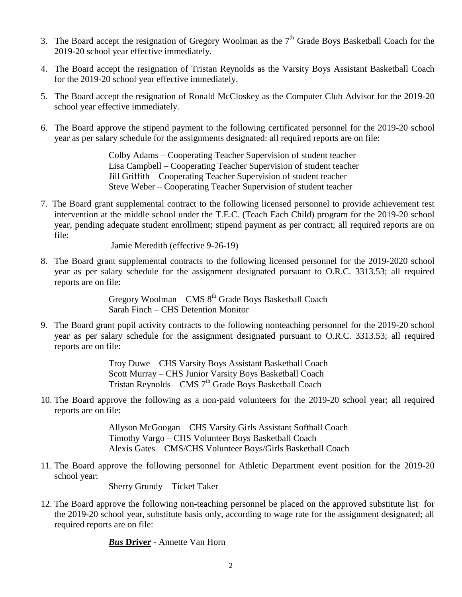- 3. The Board accept the resignation of Gregory Woolman as the  $7<sup>th</sup>$  Grade Boys Basketball Coach for the 2019-20 school year effective immediately.
- 4. The Board accept the resignation of Tristan Reynolds as the Varsity Boys Assistant Basketball Coach for the 2019-20 school year effective immediately.
- 5. The Board accept the resignation of Ronald McCloskey as the Computer Club Advisor for the 2019-20 school year effective immediately.
- 6. The Board approve the stipend payment to the following certificated personnel for the 2019-20 school year as per salary schedule for the assignments designated: all required reports are on file:

Colby Adams – Cooperating Teacher Supervision of student teacher Lisa Campbell – Cooperating Teacher Supervision of student teacher Jill Griffith – Cooperating Teacher Supervision of student teacher Steve Weber – Cooperating Teacher Supervision of student teacher

7. The Board grant supplemental contract to the following licensed personnel to provide achievement test intervention at the middle school under the T.E.C. (Teach Each Child) program for the 2019-20 school year, pending adequate student enrollment; stipend payment as per contract; all required reports are on file:

Jamie Meredith (effective 9-26-19)

8. The Board grant supplemental contracts to the following licensed personnel for the 2019-2020 school year as per salary schedule for the assignment designated pursuant to O.R.C. 3313.53; all required reports are on file:

> Gregory Woolman – CMS  $8<sup>th</sup>$  Grade Boys Basketball Coach Sarah Finch – CHS Detention Monitor

9. The Board grant pupil activity contracts to the following nonteaching personnel for the 2019-20 school year as per salary schedule for the assignment designated pursuant to O.R.C. 3313.53; all required reports are on file:

> Troy Duwe – CHS Varsity Boys Assistant Basketball Coach Scott Murray – CHS Junior Varsity Boys Basketball Coach Tristan Reynolds - CMS 7<sup>th</sup> Grade Boys Basketball Coach

10. The Board approve the following as a non-paid volunteers for the 2019-20 school year; all required reports are on file:

> Allyson McGoogan – CHS Varsity Girls Assistant Softball Coach Timothy Vargo – CHS Volunteer Boys Basketball Coach Alexis Gates – CMS/CHS Volunteer Boys/Girls Basketball Coach

11. The Board approve the following personnel for Athletic Department event position for the 2019-20 school year:

Sherry Grundy – Ticket Taker

12. The Board approve the following non-teaching personnel be placed on the approved substitute list for the 2019-20 school year, substitute basis only, according to wage rate for the assignment designated; all required reports are on file:

*Bus* **Driver** - Annette Van Horn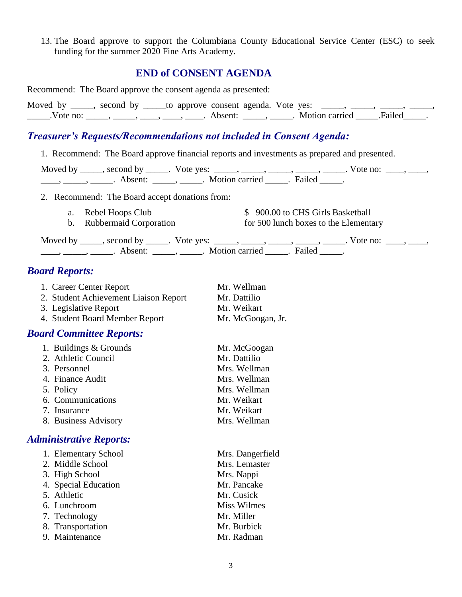13. The Board approve to support the Columbiana County Educational Service Center (ESC) to seek funding for the summer 2020 Fine Arts Academy.

# **END of CONSENT AGENDA**

| Recommend: The Board approve the consent agenda as presented:                                                                                                             |                                                                                                                                                                                                                                         |  |  |  |  |  |
|---------------------------------------------------------------------------------------------------------------------------------------------------------------------------|-----------------------------------------------------------------------------------------------------------------------------------------------------------------------------------------------------------------------------------------|--|--|--|--|--|
|                                                                                                                                                                           | Moved by ____, second by _____to approve consent agenda. Vote yes: ____, ____, ____, ____,<br>$\ldots$ . Vote no: $\ldots$ , $\ldots$ , $\ldots$ , $\ldots$ , $\ldots$ , Absent: $\ldots$ , $\ldots$ . Motion carried $\ldots$ . Failed |  |  |  |  |  |
| <b>Treasurer's Requests/Recommendations not included in Consent Agenda:</b>                                                                                               |                                                                                                                                                                                                                                         |  |  |  |  |  |
| 1. Recommend: The Board approve financial reports and investments as prepared and presented.                                                                              |                                                                                                                                                                                                                                         |  |  |  |  |  |
|                                                                                                                                                                           | Moved by _____, second by _____. Vote yes: _____, _____, _____, _____, _____. Vote no: ____, _____,                                                                                                                                     |  |  |  |  |  |
| 2. Recommend: The Board accept donations from:                                                                                                                            |                                                                                                                                                                                                                                         |  |  |  |  |  |
| Rebel Hoops Club<br>a.<br><b>Rubbermaid Corporation</b><br>$\mathbf{b}$ .                                                                                                 | \$900.00 to CHS Girls Basketball<br>for 500 lunch boxes to the Elementary                                                                                                                                                               |  |  |  |  |  |
|                                                                                                                                                                           | Moved by _____, second by _____. Vote yes: _____, _____, _____, _____, _____. Vote no: ____, _____,                                                                                                                                     |  |  |  |  |  |
| <b>Board Reports:</b>                                                                                                                                                     |                                                                                                                                                                                                                                         |  |  |  |  |  |
| 1. Career Center Report<br>2. Student Achievement Liaison Report<br>3. Legislative Report<br>4. Student Board Member Report                                               | Mr. Wellman<br>Mr. Dattilio<br>Mr. Weikart<br>Mr. McGoogan, Jr.                                                                                                                                                                         |  |  |  |  |  |
| <b>Board Committee Reports:</b>                                                                                                                                           |                                                                                                                                                                                                                                         |  |  |  |  |  |
| 1. Buildings & Grounds<br>2. Athletic Council<br>3. Personnel<br>4. Finance Audit<br>5. Policy<br>6. Communications<br>7. Insurance<br>8. Business Advisory               | Mr. McGoogan<br>Mr. Dattilio<br>Mrs. Wellman<br>Mrs. Wellman<br>Mrs. Wellman<br>Mr. Weikart<br>Mr. Weikart<br>Mrs. Wellman                                                                                                              |  |  |  |  |  |
| <b>Administrative Reports:</b>                                                                                                                                            |                                                                                                                                                                                                                                         |  |  |  |  |  |
| 1. Elementary School<br>2. Middle School<br>3. High School<br>4. Special Education<br>5. Athletic<br>6. Lunchroom<br>7. Technology<br>8. Transportation<br>9. Maintenance | Mrs. Dangerfield<br>Mrs. Lemaster<br>Mrs. Nappi<br>Mr. Pancake<br>Mr. Cusick<br><b>Miss Wilmes</b><br>Mr. Miller<br>Mr. Burbick<br>Mr. Radman                                                                                           |  |  |  |  |  |